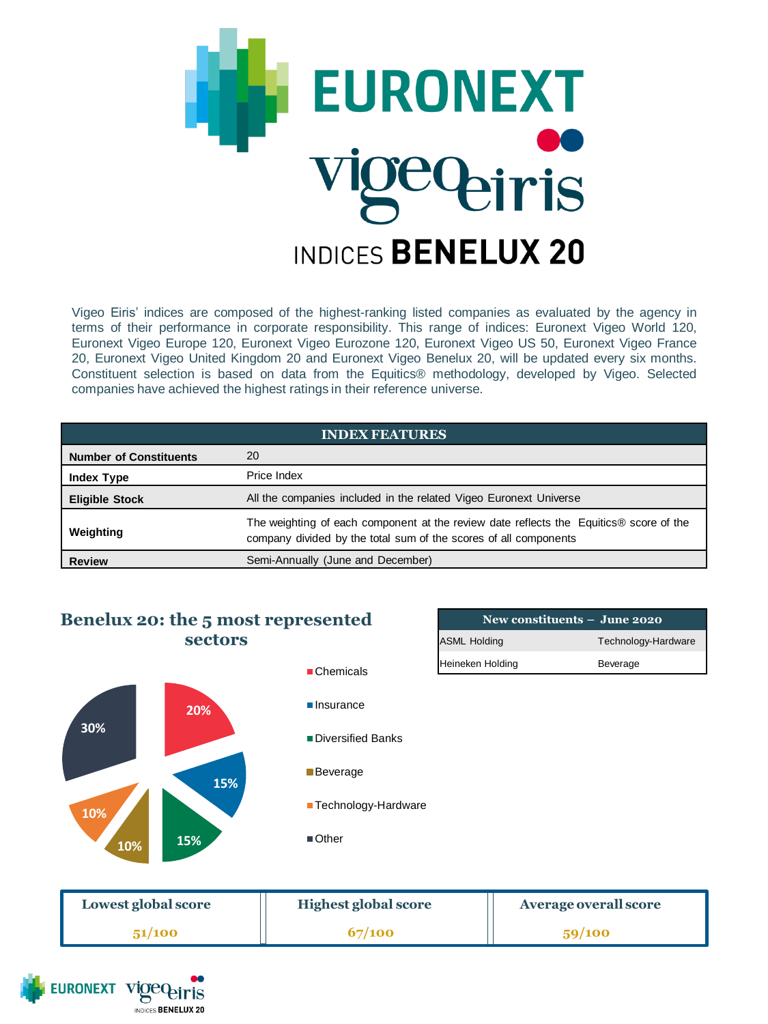

Vigeo Eiris' indices are composed of the highest-ranking listed companies as evaluated by the agency in terms of their performance in corporate responsibility. This range of indices: Euronext Vigeo World 120, Euronext Vigeo Europe 120, Euronext Vigeo Eurozone 120, Euronext Vigeo US 50, Euronext Vigeo France 20, Euronext Vigeo United Kingdom 20 and Euronext Vigeo Benelux 20, will be updated every six months. Constituent selection is based on data from the Equitics® methodology, developed by Vigeo. Selected companies have achieved the highest ratings in their reference universe.

| <b>INDEX FEATURES</b>         |                                                                                                                                                            |  |
|-------------------------------|------------------------------------------------------------------------------------------------------------------------------------------------------------|--|
| <b>Number of Constituents</b> | 20                                                                                                                                                         |  |
| <b>Index Type</b>             | Price Index                                                                                                                                                |  |
| <b>Eligible Stock</b>         | All the companies included in the related Vigeo Euronext Universe                                                                                          |  |
| Weighting                     | The weighting of each component at the review date reflects the Equitics® score of the<br>company divided by the total sum of the scores of all components |  |
| <b>Review</b>                 | Semi-Annually (June and December)                                                                                                                          |  |